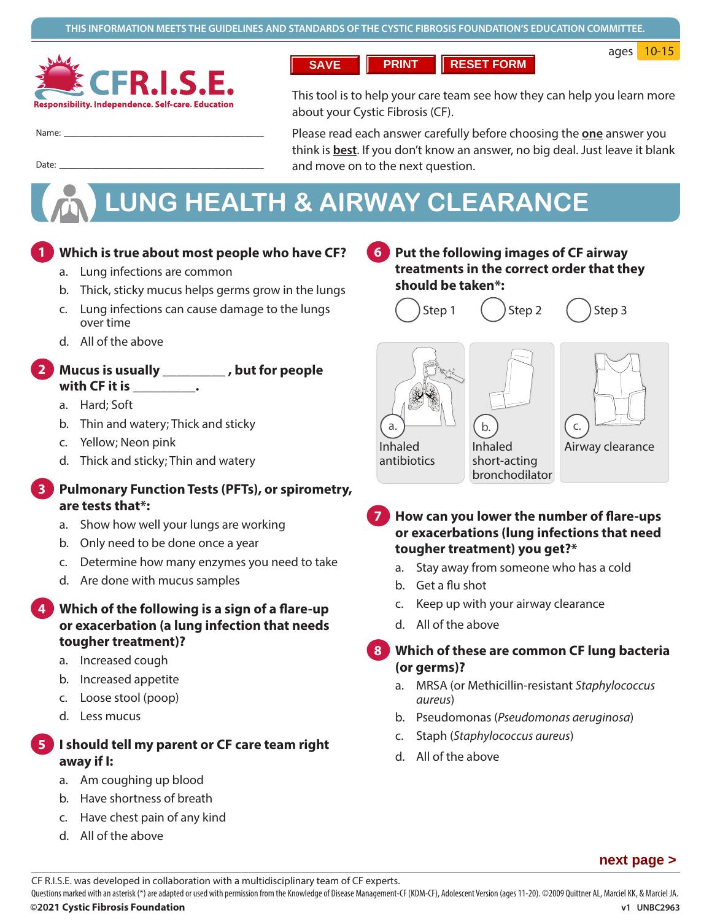

**SAVE PRINT RESET FORM**

ages 10-15

Name: �������������������������������������������

This tool is to help your care team see how they can help you learn more about your Cystic Fibrosis (CF).

Please read each answer carefully before choosing the **one** answer you think is **best**. If you don't know an answer, no big deal. Just leave it blank and move on to the next question.

# **LUNG HEALTH & AIRWAY CLEARANCE**

#### **1. Which is true about most people who have CF? 1**

a. Lung infections are common

Date: ��������������������������������������������

- b. Thick, sticky mucus helps germs grow in the lungs
- c. Lung infections can cause damage to the lungs over time
- d. All of the above

## **2. Mucus is usually \_\_\_\_\_\_\_\_\_ , but for people with CF it is \_\_\_\_\_\_\_\_\_. 2**

- a. Hard; Soft
- b. Thin and watery; Thick and sticky
- c. Yellow; Neon pink
- d. Thick and sticky; Thin and watery

### **3. Pulmonary Function Tests (PFTs), or spirometry, are tests that\*: 3**

- a. Show how well your lungs are working
- b. Only need to be done once a year
- c. Determine how many enzymes you need to take
- d. Are done with mucus samples
- **4. Which of the following is a sign of a flare-up or exacerbation (a lung infection that needs tougher treatment)? 4**
	- a. Increased cough
	- b. Increased appetite
	- c. Loose stool (poop)
	- d. Less mucus

## **5. I should tell my parent or CF care team right away if I: 5**

- a. Am coughing up blood
- b. Have shortness of breath
- c. Have chest pain of any kind
- d. All of the above

**6. Put the following images of CF airway treatments in the correct order that they should be taken\*: 6**

$$
\bigcirc
$$
Step 1

Step 1 
$$
\bigcap
$$
 Step 2  $\bigcap$  Step 3

Inhaled Airway clearance short-acting bronchodilator b. Inhaled antibiotics a. c.

- **7. How can you lower the number of flare-ups or exacerbations (lung infections that need tougher treatment) you get?\* 7**
	- a. Stay away from someone who has a cold
	- b. Get a flu shot
	- c. Keep up with your airway clearance
	- d. All of the above

# **8. Which of these are common CF lung bacteria 8 (or germs)?**

- a. MRSA (or Methicillin-resistant *Staphylococcus aureus*)
- b. Pseudomonas (*Pseudomonas aeruginosa*)
- c. Staph (*Staphylococcus aureus*)
- d. All of the above

## **next page >**

CF R.I.S.E. was developed in collaboration with a multidisciplinary team of CF experts.

**©2021 Cystic Fibrosis Foundation v1 UNBC2963**  Questions marked with an asterisk (\*) are adapted or used with permission from the Knowledge of Disease Management-CF (KDM-CF), Adolescent Version (ages 11-20). ©2009 Quittner AL, Marciel KK, & Marciel JA.